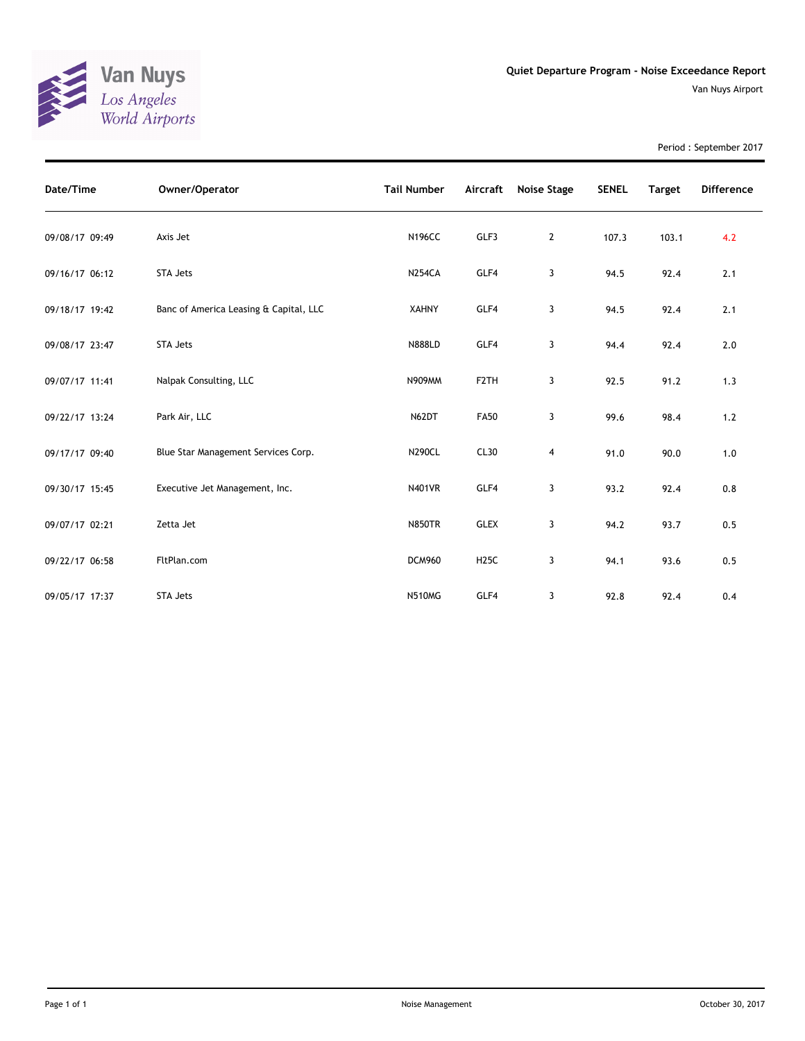

Period : September 2017

| Date/Time      | Owner/Operator                         | <b>Tail Number</b> | Aircraft          | <b>Noise Stage</b> | <b>SENEL</b> | <b>Target</b> | <b>Difference</b> |
|----------------|----------------------------------------|--------------------|-------------------|--------------------|--------------|---------------|-------------------|
| 09/08/17 09:49 | Axis Jet                               | <b>N196CC</b>      | GLF3              | $\overline{2}$     | 107.3        | 103.1         | 4.2               |
| 09/16/17 06:12 | <b>STA Jets</b>                        | <b>N254CA</b>      | GLF4              | 3                  | 94.5         | 92.4          | 2.1               |
| 09/18/17 19:42 | Banc of America Leasing & Capital, LLC | <b>XAHNY</b>       | GLF4              | 3                  | 94.5         | 92.4          | 2.1               |
| 09/08/17 23:47 | <b>STA Jets</b>                        | <b>N888LD</b>      | GLF4              | 3                  | 94.4         | 92.4          | 2.0               |
| 09/07/17 11:41 | Nalpak Consulting, LLC                 | N909MM             | F <sub>2</sub> TH | 3                  | 92.5         | 91.2          | 1.3               |
| 09/22/17 13:24 | Park Air, LLC                          | N62DT              | <b>FA50</b>       | 3                  | 99.6         | 98.4          | $1.2$             |
| 09/17/17 09:40 | Blue Star Management Services Corp.    | <b>N290CL</b>      | CL30              | 4                  | 91.0         | 90.0          | 1.0               |
| 09/30/17 15:45 | Executive Jet Management, Inc.         | <b>N401VR</b>      | GLF4              | 3                  | 93.2         | 92.4          | 0.8               |
| 09/07/17 02:21 | Zetta Jet                              | <b>N850TR</b>      | <b>GLEX</b>       | 3                  | 94.2         | 93.7          | 0.5               |
| 09/22/17 06:58 | FltPlan.com                            | <b>DCM960</b>      | <b>H25C</b>       | 3                  | 94.1         | 93.6          | 0.5               |
| 09/05/17 17:37 | <b>STA Jets</b>                        | <b>N510MG</b>      | GLF4              | 3                  | 92.8         | 92.4          | 0.4               |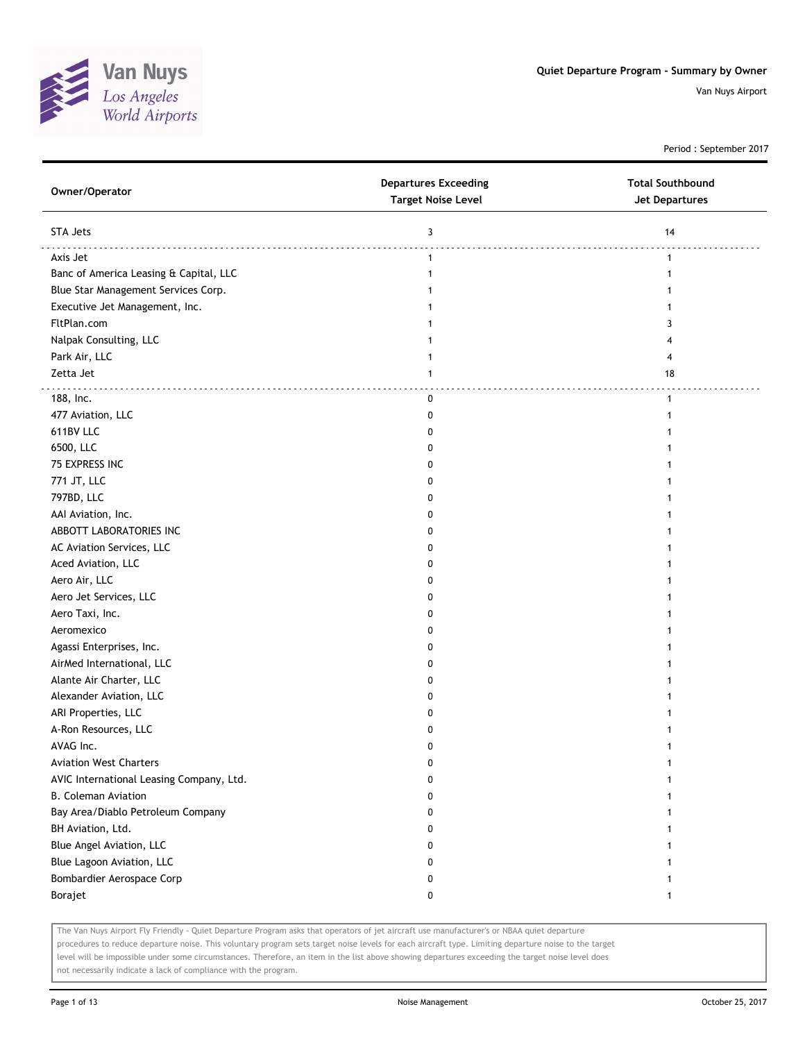

Period : September 2017

| Owner/Operator                           | <b>Departures Exceeding</b><br><b>Target Noise Level</b> | <b>Total Southbound</b><br><b>Jet Departures</b> |
|------------------------------------------|----------------------------------------------------------|--------------------------------------------------|
| STA Jets                                 | 3                                                        | 14                                               |
| Axis Jet                                 | 1                                                        | 1                                                |
| Banc of America Leasing & Capital, LLC   | 1                                                        | 1                                                |
| Blue Star Management Services Corp.      |                                                          |                                                  |
| Executive Jet Management, Inc.           |                                                          |                                                  |
| FltPlan.com                              |                                                          | 3                                                |
| Nalpak Consulting, LLC                   |                                                          |                                                  |
| Park Air, LLC                            |                                                          | 4                                                |
| Zetta Jet                                | 1                                                        | 18                                               |
| 188, Inc.                                | 0                                                        | $\mathbf{1}$                                     |
| 477 Aviation, LLC                        | 0                                                        |                                                  |
| 611BV LLC                                | <sup>0</sup>                                             |                                                  |
| 6500, LLC                                |                                                          |                                                  |
| 75 EXPRESS INC                           |                                                          |                                                  |
| 771 JT, LLC                              | o                                                        |                                                  |
| 797BD, LLC                               | 0                                                        |                                                  |
| AAI Aviation, Inc.                       | 0                                                        |                                                  |
| ABBOTT LABORATORIES INC                  | 0                                                        |                                                  |
| AC Aviation Services, LLC                | 0                                                        |                                                  |
| Aced Aviation, LLC                       | 0                                                        |                                                  |
| Aero Air, LLC                            | 0                                                        |                                                  |
| Aero Jet Services, LLC                   | o                                                        |                                                  |
| Aero Taxi, Inc.                          |                                                          |                                                  |
| Aeromexico                               |                                                          |                                                  |
| Agassi Enterprises, Inc.                 | o                                                        |                                                  |
| AirMed International, LLC                | 0                                                        |                                                  |
| Alante Air Charter, LLC                  | 0                                                        |                                                  |
| Alexander Aviation, LLC                  | 0                                                        |                                                  |
| ARI Properties, LLC                      | 0                                                        |                                                  |
| A-Ron Resources, LLC                     | 0                                                        |                                                  |
| AVAG Inc.                                | 0                                                        |                                                  |
| <b>Aviation West Charters</b>            | 0                                                        |                                                  |
| AVIC International Leasing Company, Ltd. | 0                                                        |                                                  |
| <b>B. Coleman Aviation</b>               | 0                                                        |                                                  |
| Bay Area/Diablo Petroleum Company        | 0                                                        | 1                                                |
| BH Aviation, Ltd.                        | 0                                                        | 1                                                |
| Blue Angel Aviation, LLC                 | 0                                                        | 1                                                |
| Blue Lagoon Aviation, LLC                | 0                                                        |                                                  |
| Bombardier Aerospace Corp                | 0                                                        | 1                                                |
| Borajet                                  | 0                                                        | $\mathbf{1}$                                     |
|                                          |                                                          |                                                  |

The Van Nuys Airport Fly Friendly - Quiet Departure Program asks that operators of jet aircraft use manufacturer's or NBAA quiet departure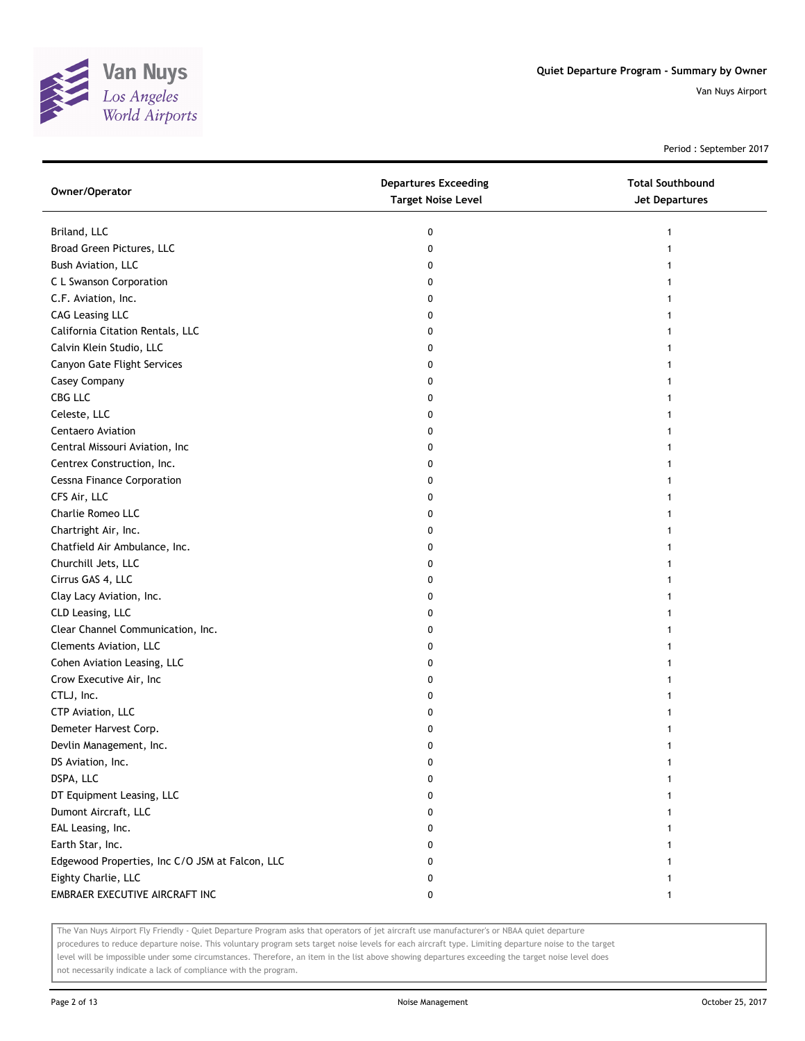

Period : September 2017

| Owner/Operator                                  | <b>Departures Exceeding</b><br><b>Target Noise Level</b> | <b>Total Southbound</b><br>Jet Departures |
|-------------------------------------------------|----------------------------------------------------------|-------------------------------------------|
| Briland, LLC                                    | 0                                                        |                                           |
| Broad Green Pictures, LLC                       | 0                                                        |                                           |
| Bush Aviation, LLC                              | 0                                                        |                                           |
| C L Swanson Corporation                         | 0                                                        |                                           |
| C.F. Aviation, Inc.                             | 0                                                        |                                           |
| <b>CAG Leasing LLC</b>                          | 0                                                        |                                           |
| California Citation Rentals, LLC                | 0                                                        | 1                                         |
| Calvin Klein Studio, LLC                        | 0                                                        | 1                                         |
| Canyon Gate Flight Services                     | 0                                                        |                                           |
| Casey Company                                   | 0                                                        |                                           |
| CBG LLC                                         | 0                                                        |                                           |
| Celeste, LLC                                    | 0                                                        |                                           |
| Centaero Aviation                               | 0                                                        |                                           |
| Central Missouri Aviation, Inc                  | 0                                                        |                                           |
| Centrex Construction, Inc.                      | 0                                                        |                                           |
| <b>Cessna Finance Corporation</b>               | 0                                                        |                                           |
| CFS Air, LLC                                    | 0                                                        |                                           |
| Charlie Romeo LLC                               | 0                                                        |                                           |
| Chartright Air, Inc.                            | 0                                                        |                                           |
| Chatfield Air Ambulance, Inc.                   | 0                                                        |                                           |
| Churchill Jets, LLC                             | 0                                                        |                                           |
| Cirrus GAS 4, LLC                               | 0                                                        |                                           |
| Clay Lacy Aviation, Inc.                        | 0                                                        |                                           |
| CLD Leasing, LLC                                | 0                                                        |                                           |
| Clear Channel Communication, Inc.               | 0                                                        |                                           |
| Clements Aviation, LLC                          | 0                                                        |                                           |
| Cohen Aviation Leasing, LLC                     | 0                                                        |                                           |
| Crow Executive Air, Inc                         | 0                                                        |                                           |
| CTLJ, Inc.                                      | 0                                                        |                                           |
| CTP Aviation, LLC                               | 0                                                        |                                           |
| Demeter Harvest Corp.                           | 0                                                        |                                           |
| Devlin Management, Inc.                         | 0                                                        |                                           |
| DS Aviation, Inc.                               | 0                                                        |                                           |
| DSPA, LLC                                       | 0                                                        |                                           |
| DT Equipment Leasing, LLC                       | 0                                                        |                                           |
| Dumont Aircraft, LLC                            | 0                                                        |                                           |
| EAL Leasing, Inc.                               | 0                                                        | 1                                         |
| Earth Star, Inc.                                | 0                                                        |                                           |
| Edgewood Properties, Inc C/O JSM at Falcon, LLC | 0                                                        |                                           |
| Eighty Charlie, LLC                             | 0                                                        |                                           |
| EMBRAER EXECUTIVE AIRCRAFT INC                  | 0                                                        | 1                                         |

The Van Nuys Airport Fly Friendly - Quiet Departure Program asks that operators of jet aircraft use manufacturer's or NBAA quiet departure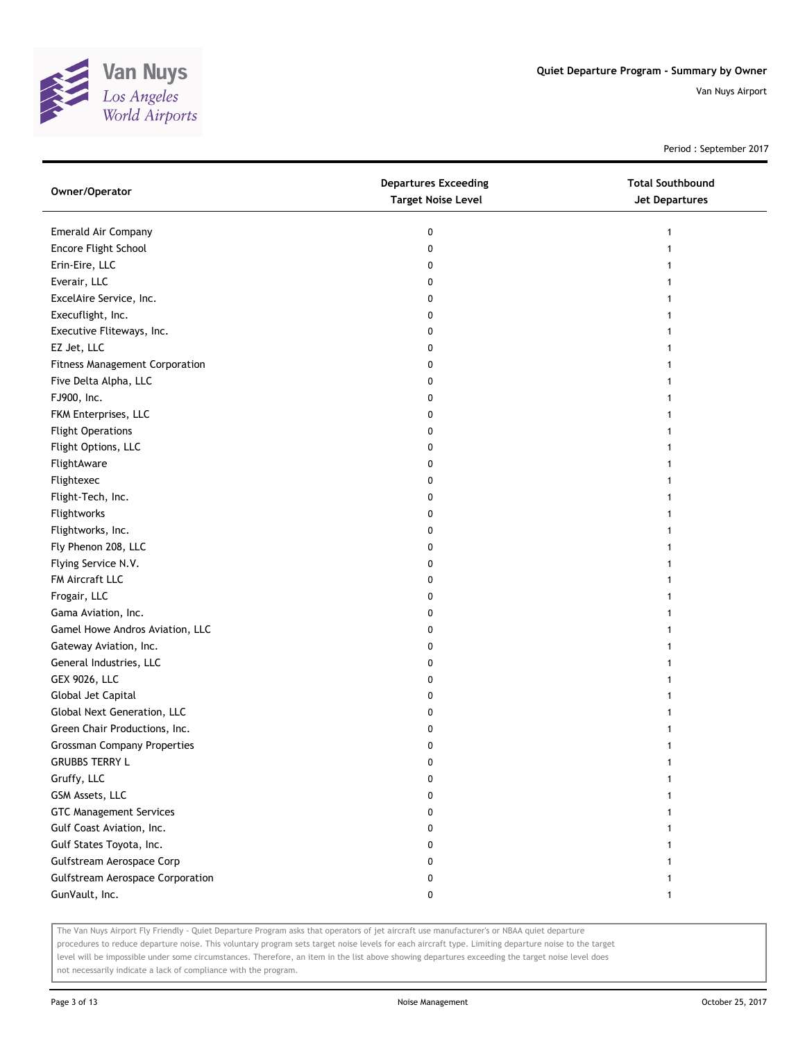

Period : September 2017

| Owner/Operator                        | <b>Departures Exceeding</b><br><b>Target Noise Level</b> | <b>Total Southbound</b><br>Jet Departures |
|---------------------------------------|----------------------------------------------------------|-------------------------------------------|
| Emerald Air Company                   | 0                                                        |                                           |
| Encore Flight School                  | 0                                                        |                                           |
| Erin-Eire, LLC                        | 0                                                        |                                           |
| Everair, LLC                          | 0                                                        |                                           |
| ExcelAire Service, Inc.               | 0                                                        |                                           |
| Execuflight, Inc.                     | 0                                                        |                                           |
| Executive Fliteways, Inc.             | 0                                                        |                                           |
| EZ Jet, LLC                           | 0                                                        |                                           |
| <b>Fitness Management Corporation</b> | 0                                                        |                                           |
| Five Delta Alpha, LLC                 | 0                                                        |                                           |
| FJ900, Inc.                           | 0                                                        |                                           |
| FKM Enterprises, LLC                  | 0                                                        |                                           |
| <b>Flight Operations</b>              | 0                                                        |                                           |
| Flight Options, LLC                   | 0                                                        |                                           |
| FlightAware                           | 0                                                        |                                           |
| Flightexec                            | 0                                                        |                                           |
| Flight-Tech, Inc.                     | 0                                                        |                                           |
| Flightworks                           | 0                                                        |                                           |
| Flightworks, Inc.                     | 0                                                        |                                           |
| Fly Phenon 208, LLC                   | 0                                                        |                                           |
| Flying Service N.V.                   | 0                                                        |                                           |
| FM Aircraft LLC                       | 0                                                        |                                           |
| Frogair, LLC                          | 0                                                        |                                           |
| Gama Aviation, Inc.                   | 0                                                        |                                           |
| Gamel Howe Andros Aviation, LLC       | 0                                                        |                                           |
| Gateway Aviation, Inc.                | 0                                                        |                                           |
| General Industries, LLC               | 0                                                        |                                           |
| <b>GEX 9026, LLC</b>                  | 0                                                        |                                           |
| Global Jet Capital                    | 0                                                        |                                           |
| Global Next Generation, LLC           | 0                                                        |                                           |
| Green Chair Productions, Inc.         | 0                                                        |                                           |
| <b>Grossman Company Properties</b>    | 0                                                        |                                           |
| <b>GRUBBS TERRY L</b>                 | 0                                                        |                                           |
| Gruffy, LLC                           | 0                                                        |                                           |
| GSM Assets, LLC                       | 0                                                        |                                           |
| <b>GTC Management Services</b>        | 0                                                        |                                           |
| Gulf Coast Aviation, Inc.             | 0                                                        |                                           |
| Gulf States Toyota, Inc.              | 0                                                        |                                           |
| Gulfstream Aerospace Corp             | 0                                                        |                                           |
| Gulfstream Aerospace Corporation      | 0                                                        |                                           |
| GunVault, Inc.                        | 0                                                        | 1                                         |

The Van Nuys Airport Fly Friendly - Quiet Departure Program asks that operators of jet aircraft use manufacturer's or NBAA quiet departure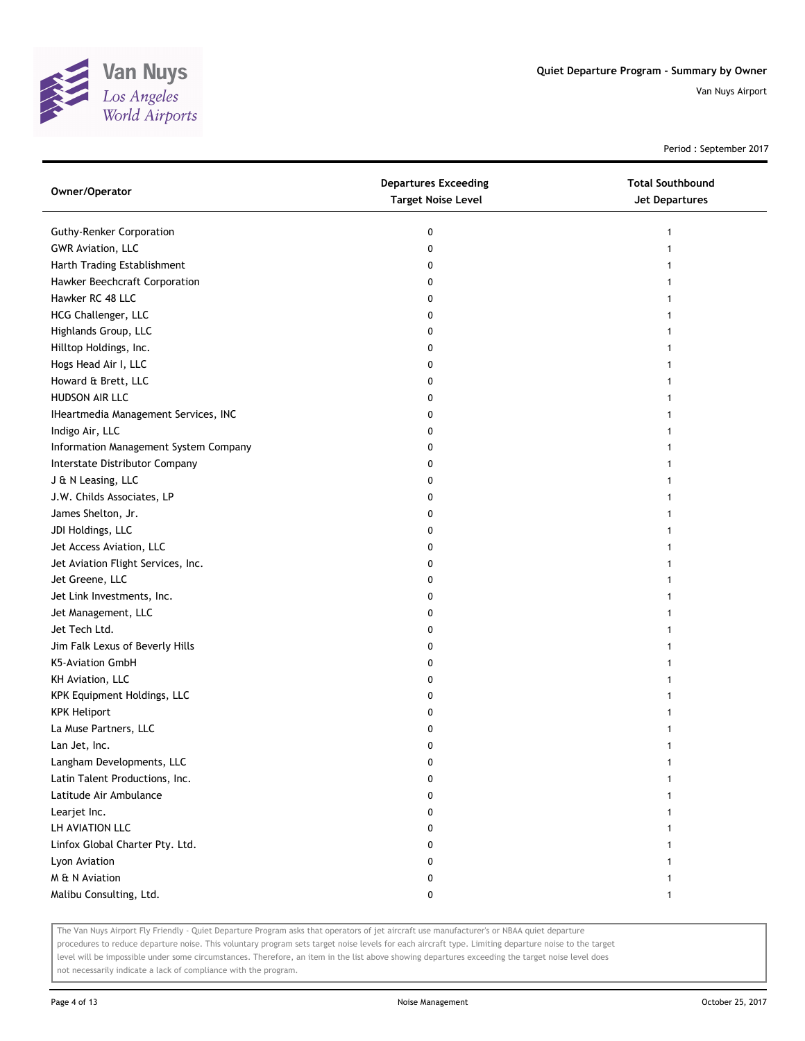

Period : September 2017

| Owner/Operator                        | <b>Departures Exceeding</b><br><b>Target Noise Level</b> | <b>Total Southbound</b><br><b>Jet Departures</b> |
|---------------------------------------|----------------------------------------------------------|--------------------------------------------------|
| <b>Guthy-Renker Corporation</b>       | 0                                                        | 1                                                |
| <b>GWR Aviation, LLC</b>              | 0                                                        |                                                  |
| Harth Trading Establishment           | 0                                                        |                                                  |
| Hawker Beechcraft Corporation         | 0                                                        |                                                  |
| Hawker RC 48 LLC                      | 0                                                        |                                                  |
| HCG Challenger, LLC                   | 0                                                        |                                                  |
| Highlands Group, LLC                  | 0                                                        |                                                  |
| Hilltop Holdings, Inc.                | 0                                                        |                                                  |
| Hogs Head Air I, LLC                  | 0                                                        |                                                  |
| Howard & Brett, LLC                   | 0                                                        |                                                  |
| HUDSON AIR LLC                        | 0                                                        |                                                  |
| IHeartmedia Management Services, INC  | 0                                                        |                                                  |
| Indigo Air, LLC                       | 0                                                        |                                                  |
| Information Management System Company | 0                                                        |                                                  |
| Interstate Distributor Company        | 0                                                        |                                                  |
| J & N Leasing, LLC                    | 0                                                        |                                                  |
| J.W. Childs Associates, LP            | 0                                                        |                                                  |
| James Shelton, Jr.                    | 0                                                        |                                                  |
| JDI Holdings, LLC                     | 0                                                        |                                                  |
| Jet Access Aviation, LLC              | 0                                                        |                                                  |
| Jet Aviation Flight Services, Inc.    | 0                                                        |                                                  |
| Jet Greene, LLC                       | 0                                                        |                                                  |
| Jet Link Investments, Inc.            | 0                                                        |                                                  |
| Jet Management, LLC                   | 0                                                        |                                                  |
| Jet Tech Ltd.                         | 0                                                        |                                                  |
| Jim Falk Lexus of Beverly Hills       | 0                                                        |                                                  |
| K5-Aviation GmbH                      | 0                                                        |                                                  |
| KH Aviation, LLC                      | 0                                                        |                                                  |
| KPK Equipment Holdings, LLC           | 0                                                        |                                                  |
| <b>KPK Heliport</b>                   | 0                                                        |                                                  |
| La Muse Partners, LLC                 | 0                                                        |                                                  |
| Lan Jet, Inc.                         | 0                                                        | 1                                                |
| Langham Developments, LLC             | 0                                                        |                                                  |
| Latin Talent Productions, Inc.        | 0                                                        |                                                  |
| Latitude Air Ambulance                | 0                                                        |                                                  |
| Learjet Inc.                          | 0                                                        |                                                  |
| LH AVIATION LLC                       | 0                                                        |                                                  |
| Linfox Global Charter Pty. Ltd.       | 0                                                        |                                                  |
| Lyon Aviation                         | 0                                                        |                                                  |
| M & N Aviation                        | 0                                                        |                                                  |
| Malibu Consulting, Ltd.               | 0                                                        | 1                                                |

The Van Nuys Airport Fly Friendly - Quiet Departure Program asks that operators of jet aircraft use manufacturer's or NBAA quiet departure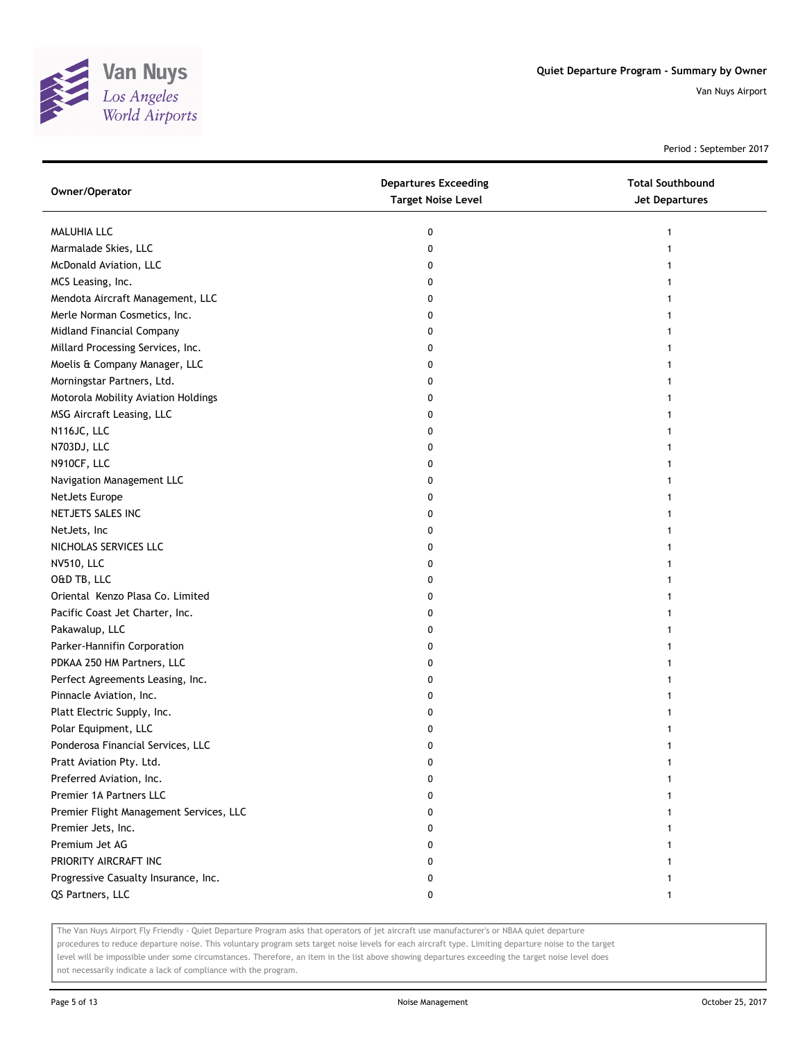

Period : September 2017

| Owner/Operator                          | <b>Departures Exceeding</b><br><b>Target Noise Level</b> | <b>Total Southbound</b><br><b>Jet Departures</b> |
|-----------------------------------------|----------------------------------------------------------|--------------------------------------------------|
| MALUHIA LLC                             | 0                                                        | 1                                                |
| Marmalade Skies, LLC                    | 0                                                        | 1                                                |
| McDonald Aviation, LLC                  | 0                                                        |                                                  |
| MCS Leasing, Inc.                       | 0                                                        |                                                  |
| Mendota Aircraft Management, LLC        | 0                                                        |                                                  |
| Merle Norman Cosmetics, Inc.            | 0                                                        | 1                                                |
| Midland Financial Company               | 0                                                        | 1                                                |
| Millard Processing Services, Inc.       | 0                                                        |                                                  |
| Moelis & Company Manager, LLC           | 0                                                        |                                                  |
| Morningstar Partners, Ltd.              | 0                                                        |                                                  |
| Motorola Mobility Aviation Holdings     | 0                                                        |                                                  |
| MSG Aircraft Leasing, LLC               | 0                                                        |                                                  |
| N116JC, LLC                             | 0                                                        |                                                  |
| N703DJ, LLC                             | 0                                                        |                                                  |
| N910CF, LLC                             | 0                                                        |                                                  |
| Navigation Management LLC               | 0                                                        | 1                                                |
| NetJets Europe                          | 0                                                        | 1                                                |
| NETJETS SALES INC                       | 0                                                        | 1                                                |
| NetJets, Inc                            | 0                                                        |                                                  |
| NICHOLAS SERVICES LLC                   | 0                                                        |                                                  |
| NV510, LLC                              | 0                                                        |                                                  |
| O&D TB, LLC                             | 0                                                        |                                                  |
| Oriental Kenzo Plasa Co. Limited        | 0                                                        |                                                  |
| Pacific Coast Jet Charter, Inc.         | 0                                                        |                                                  |
| Pakawalup, LLC                          | 0                                                        |                                                  |
| Parker-Hannifin Corporation             | 0                                                        |                                                  |
| PDKAA 250 HM Partners, LLC              | 0                                                        |                                                  |
| Perfect Agreements Leasing, Inc.        | 0                                                        |                                                  |
| Pinnacle Aviation, Inc.                 | 0                                                        |                                                  |
| Platt Electric Supply, Inc.             | 0                                                        |                                                  |
| Polar Equipment, LLC                    | 0                                                        |                                                  |
| Ponderosa Financial Services, LLC       | 0                                                        |                                                  |
| Pratt Aviation Pty. Ltd.                | 0                                                        |                                                  |
| Preferred Aviation, Inc.                | 0                                                        |                                                  |
| Premier 1A Partners LLC                 | 0                                                        |                                                  |
| Premier Flight Management Services, LLC | 0                                                        |                                                  |
| Premier Jets, Inc.                      | 0                                                        |                                                  |
| Premium Jet AG                          | 0                                                        |                                                  |
| PRIORITY AIRCRAFT INC                   | 0                                                        |                                                  |
| Progressive Casualty Insurance, Inc.    | 0                                                        |                                                  |
| QS Partners, LLC                        | 0                                                        |                                                  |

The Van Nuys Airport Fly Friendly - Quiet Departure Program asks that operators of jet aircraft use manufacturer's or NBAA quiet departure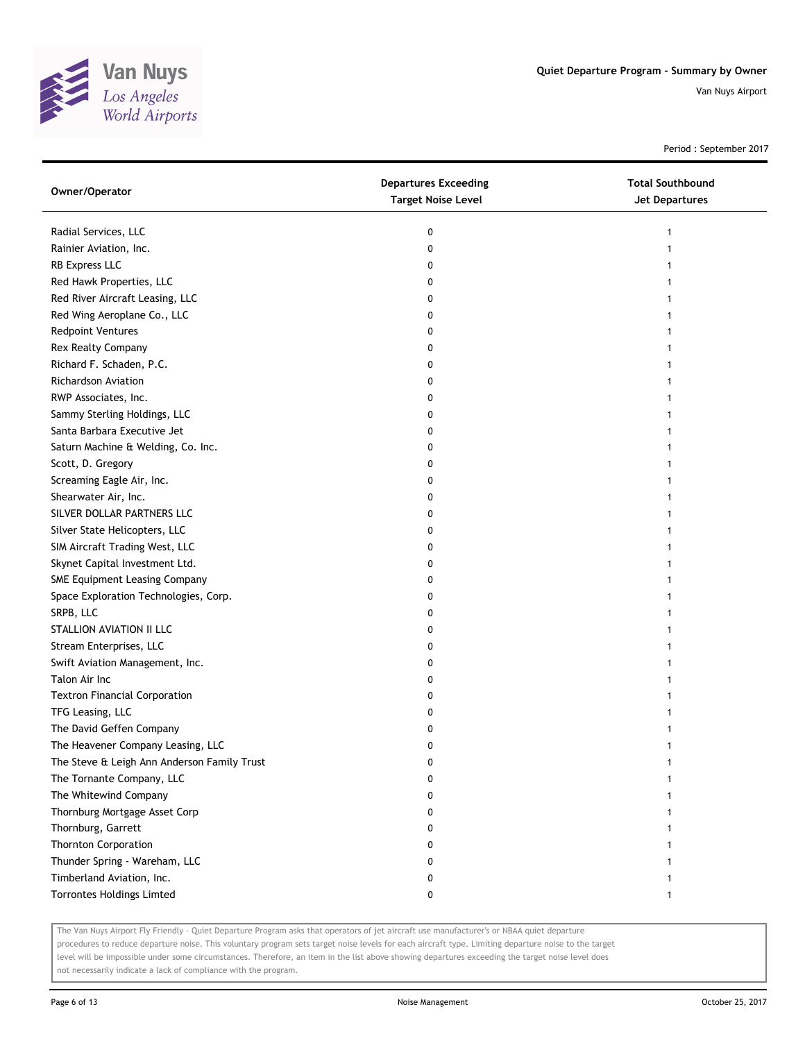

Period : September 2017

| Owner/Operator                              | <b>Departures Exceeding</b><br><b>Target Noise Level</b> | <b>Total Southbound</b><br><b>Jet Departures</b> |
|---------------------------------------------|----------------------------------------------------------|--------------------------------------------------|
| Radial Services, LLC                        | 0                                                        | 1                                                |
| Rainier Aviation, Inc.                      | 0                                                        | 1                                                |
| RB Express LLC                              | 0                                                        | 1                                                |
| Red Hawk Properties, LLC                    | 0                                                        | 1                                                |
| Red River Aircraft Leasing, LLC             | 0                                                        | 1                                                |
| Red Wing Aeroplane Co., LLC                 | 0                                                        | 1                                                |
| <b>Redpoint Ventures</b>                    | 0                                                        | 1                                                |
| Rex Realty Company                          | 0                                                        | 1                                                |
| Richard F. Schaden, P.C.                    | 0                                                        | 1                                                |
| Richardson Aviation                         | 0                                                        | 1                                                |
| RWP Associates, Inc.                        | 0                                                        | 1                                                |
| Sammy Sterling Holdings, LLC                | 0                                                        | 1                                                |
| Santa Barbara Executive Jet                 | 0                                                        | 1                                                |
| Saturn Machine & Welding, Co. Inc.          | 0                                                        | 1                                                |
| Scott, D. Gregory                           | 0                                                        | 1                                                |
| Screaming Eagle Air, Inc.                   | 0                                                        | 1                                                |
| Shearwater Air, Inc.                        | 0                                                        | 1                                                |
| SILVER DOLLAR PARTNERS LLC                  | 0                                                        | 1                                                |
| Silver State Helicopters, LLC               | 0                                                        | 1                                                |
| SIM Aircraft Trading West, LLC              | 0                                                        | 1                                                |
| Skynet Capital Investment Ltd.              | 0                                                        | 1                                                |
| SME Equipment Leasing Company               | 0                                                        | 1                                                |
| Space Exploration Technologies, Corp.       | 0                                                        | 1                                                |
| SRPB, LLC                                   | 0                                                        | 1                                                |
| STALLION AVIATION II LLC                    | 0                                                        | 1                                                |
| Stream Enterprises, LLC                     | 0                                                        | 1                                                |
| Swift Aviation Management, Inc.             | 0                                                        | 1                                                |
| Talon Air Inc                               | 0                                                        | 1                                                |
| <b>Textron Financial Corporation</b>        | 0                                                        | 1                                                |
| TFG Leasing, LLC                            | 0                                                        |                                                  |
| The David Geffen Company                    | 0                                                        | 1                                                |
| The Heavener Company Leasing, LLC           | 0                                                        | 1                                                |
| The Steve & Leigh Ann Anderson Family Trust | 0                                                        |                                                  |
| The Tornante Company, LLC                   | 0                                                        |                                                  |
| The Whitewind Company                       | O                                                        | 1                                                |
| Thornburg Mortgage Asset Corp               | 0                                                        | 1                                                |
| Thornburg, Garrett                          | 0                                                        | 1                                                |
| <b>Thornton Corporation</b>                 | 0                                                        | 1                                                |
| Thunder Spring - Wareham, LLC               | 0                                                        | 1                                                |
| Timberland Aviation, Inc.                   | 0                                                        | 1                                                |
| Torrontes Holdings Limted                   | 0                                                        | 1                                                |

The Van Nuys Airport Fly Friendly - Quiet Departure Program asks that operators of jet aircraft use manufacturer's or NBAA quiet departure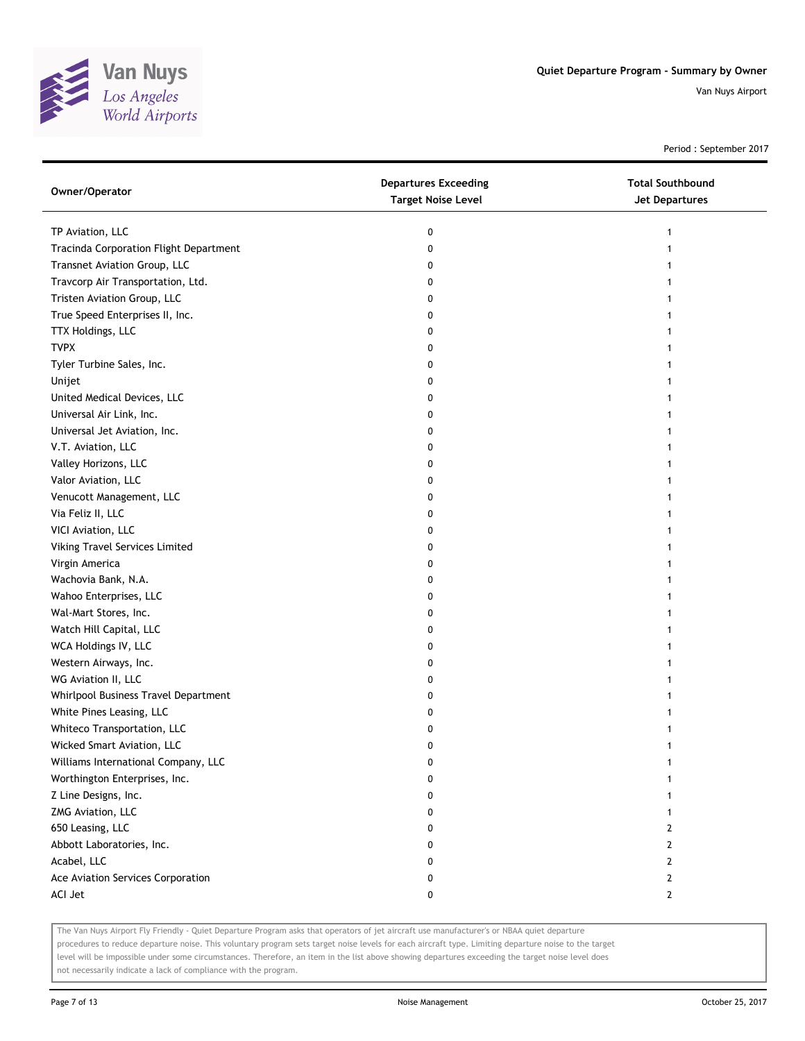

Period : September 2017

| Owner/Operator                         | <b>Departures Exceeding</b><br><b>Target Noise Level</b> | <b>Total Southbound</b><br><b>Jet Departures</b> |
|----------------------------------------|----------------------------------------------------------|--------------------------------------------------|
| TP Aviation, LLC                       | 0                                                        | 1                                                |
| Tracinda Corporation Flight Department | 0                                                        |                                                  |
| Transnet Aviation Group, LLC           | 0                                                        |                                                  |
| Travcorp Air Transportation, Ltd.      | 0                                                        |                                                  |
| Tristen Aviation Group, LLC            | 0                                                        |                                                  |
| True Speed Enterprises II, Inc.        | 0                                                        |                                                  |
| TTX Holdings, LLC                      | 0                                                        |                                                  |
| <b>TVPX</b>                            | 0                                                        |                                                  |
| Tyler Turbine Sales, Inc.              | 0                                                        |                                                  |
| Unijet                                 | 0                                                        |                                                  |
| United Medical Devices, LLC            | 0                                                        |                                                  |
| Universal Air Link, Inc.               | 0                                                        |                                                  |
| Universal Jet Aviation, Inc.           | 0                                                        |                                                  |
| V.T. Aviation, LLC                     | 0                                                        |                                                  |
| Valley Horizons, LLC                   | 0                                                        |                                                  |
| Valor Aviation, LLC                    | 0                                                        |                                                  |
| Venucott Management, LLC               | 0                                                        |                                                  |
| Via Feliz II, LLC                      | 0                                                        |                                                  |
| VICI Aviation, LLC                     | 0                                                        |                                                  |
| Viking Travel Services Limited         | 0                                                        |                                                  |
| Virgin America                         | 0                                                        |                                                  |
| Wachovia Bank, N.A.                    | 0                                                        |                                                  |
| Wahoo Enterprises, LLC                 | 0                                                        |                                                  |
| Wal-Mart Stores, Inc.                  | 0                                                        |                                                  |
| Watch Hill Capital, LLC                | 0                                                        |                                                  |
| WCA Holdings IV, LLC                   | 0                                                        |                                                  |
| Western Airways, Inc.                  | 0                                                        |                                                  |
| WG Aviation II, LLC                    | 0                                                        |                                                  |
| Whirlpool Business Travel Department   | 0                                                        |                                                  |
| White Pines Leasing, LLC               | 0                                                        |                                                  |
| Whiteco Transportation, LLC            | 0                                                        |                                                  |
| Wicked Smart Aviation, LLC             | 0                                                        |                                                  |
| Williams International Company, LLC    | 0                                                        | 1                                                |
| Worthington Enterprises, Inc.          | 0                                                        | 1                                                |
| Z Line Designs, Inc.                   | 0                                                        | 1                                                |
| ZMG Aviation, LLC                      | 0                                                        | 1                                                |
| 650 Leasing, LLC                       | 0                                                        | $\mathbf{2}$                                     |
| Abbott Laboratories, Inc.              | 0                                                        | $\mathbf{2}$                                     |
| Acabel, LLC                            | 0                                                        | $\mathbf{2}$                                     |
| Ace Aviation Services Corporation      | 0                                                        | $\mathbf{2}$                                     |
| ACI Jet                                | 0                                                        | $\mathbf{2}$                                     |

The Van Nuys Airport Fly Friendly - Quiet Departure Program asks that operators of jet aircraft use manufacturer's or NBAA quiet departure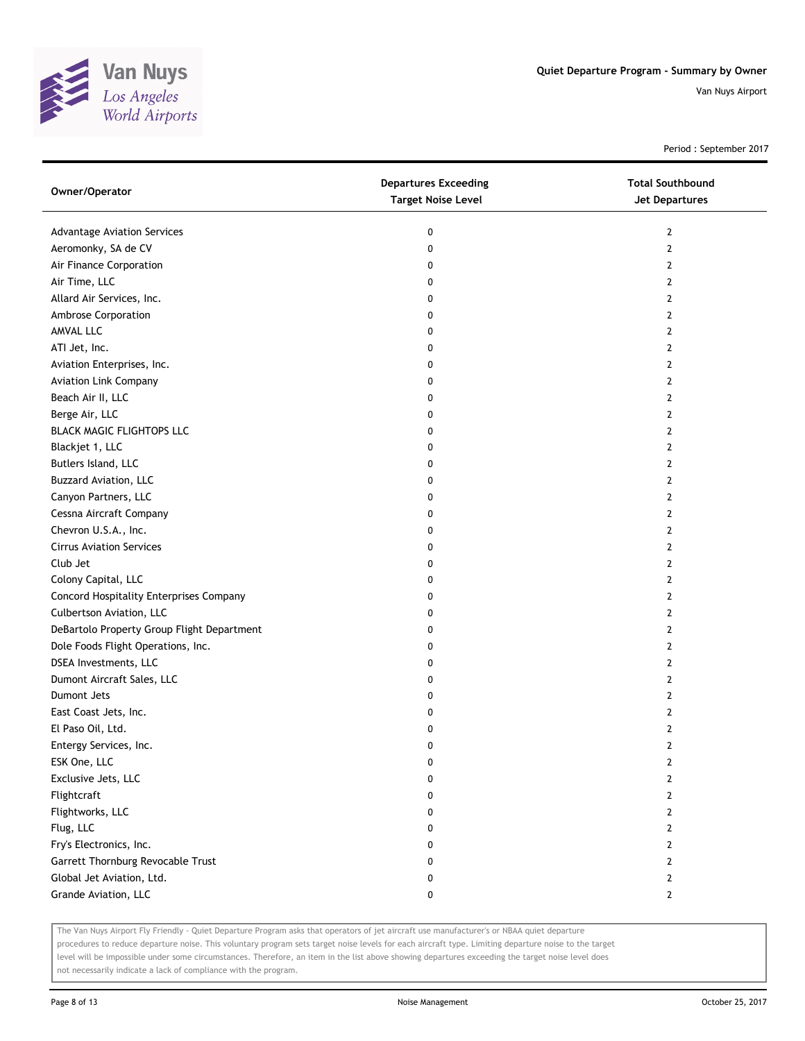

Period : September 2017

| Owner/Operator                             | <b>Departures Exceeding</b><br><b>Target Noise Level</b> | <b>Total Southbound</b><br><b>Jet Departures</b> |
|--------------------------------------------|----------------------------------------------------------|--------------------------------------------------|
| <b>Advantage Aviation Services</b>         | 0                                                        | $\overline{2}$                                   |
| Aeromonky, SA de CV                        | 0                                                        | $\overline{2}$                                   |
| Air Finance Corporation                    | 0                                                        | 2                                                |
| Air Time, LLC                              | 0                                                        | 2                                                |
| Allard Air Services, Inc.                  | 0                                                        | $\overline{2}$                                   |
| Ambrose Corporation                        | 0                                                        | 2                                                |
| AMVAL LLC                                  | 0                                                        | $\overline{2}$                                   |
| ATI Jet, Inc.                              | 0                                                        | 2                                                |
| Aviation Enterprises, Inc.                 | 0                                                        | $\overline{2}$                                   |
| <b>Aviation Link Company</b>               | 0                                                        | $\overline{2}$                                   |
| Beach Air II, LLC                          | 0                                                        | $\mathbf{2}$                                     |
| Berge Air, LLC                             | 0                                                        | $\overline{2}$                                   |
| BLACK MAGIC FLIGHTOPS LLC                  | 0                                                        | 2                                                |
| Blackjet 1, LLC                            | 0                                                        | $\overline{2}$                                   |
| Butlers Island, LLC                        | 0                                                        | 2                                                |
| <b>Buzzard Aviation, LLC</b>               | 0                                                        | 2                                                |
| Canyon Partners, LLC                       | 0                                                        | 2                                                |
| Cessna Aircraft Company                    | 0                                                        | 2                                                |
| Chevron U.S.A., Inc.                       | 0                                                        | 2                                                |
| <b>Cirrus Aviation Services</b>            | 0                                                        | 2                                                |
| Club Jet                                   | 0                                                        | $\overline{2}$                                   |
| Colony Capital, LLC                        | 0                                                        | $\overline{2}$                                   |
| Concord Hospitality Enterprises Company    | 0                                                        | $\overline{2}$                                   |
| Culbertson Aviation, LLC                   | 0                                                        | 2                                                |
| DeBartolo Property Group Flight Department | 0                                                        | $\overline{2}$                                   |
| Dole Foods Flight Operations, Inc.         | 0                                                        | 2                                                |
| DSEA Investments, LLC                      | 0                                                        | 2                                                |
| Dumont Aircraft Sales, LLC                 | 0                                                        | 2                                                |
| Dumont Jets                                | 0                                                        | 2                                                |
| East Coast Jets, Inc.                      | 0                                                        | $\overline{2}$                                   |
| El Paso Oil, Ltd.                          | 0                                                        | 2                                                |
| Entergy Services, Inc.                     | 0                                                        | $\overline{2}$                                   |
| ESK One, LLC                               | 0                                                        | 2                                                |
| Exclusive Jets, LLC                        | 0                                                        | 2                                                |
| Flightcraft                                | 0                                                        | $\overline{2}$                                   |
| Flightworks, LLC                           | 0                                                        | $\mathbf{2}$                                     |
| Flug, LLC                                  | 0                                                        | $\mathbf{2}$                                     |
| Fry's Electronics, Inc.                    | 0                                                        | $\mathbf{2}$                                     |
| Garrett Thornburg Revocable Trust          | 0                                                        | $\mathbf{2}$                                     |
| Global Jet Aviation, Ltd.                  | 0                                                        | $\mathbf{2}$                                     |
| Grande Aviation, LLC                       | 0                                                        | $\mathbf{2}$                                     |

The Van Nuys Airport Fly Friendly - Quiet Departure Program asks that operators of jet aircraft use manufacturer's or NBAA quiet departure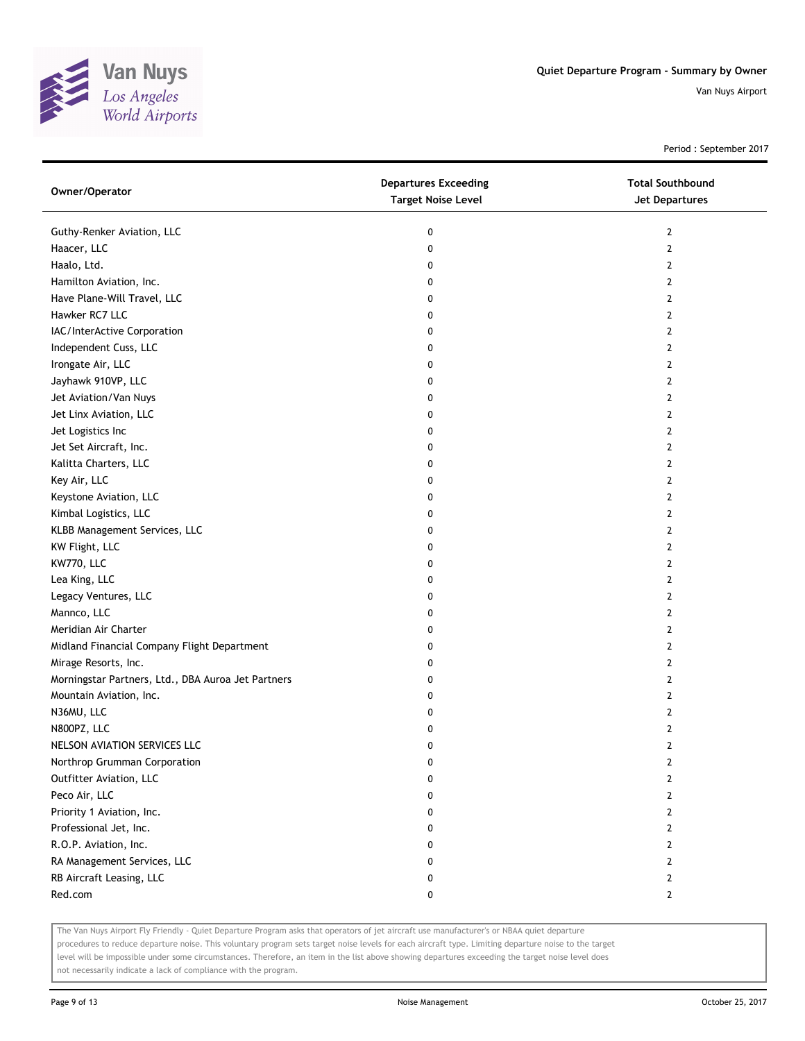

Period : September 2017

| Owner/Operator                                     | <b>Departures Exceeding</b><br><b>Target Noise Level</b> | <b>Total Southbound</b><br><b>Jet Departures</b> |
|----------------------------------------------------|----------------------------------------------------------|--------------------------------------------------|
| Guthy-Renker Aviation, LLC                         | 0                                                        | 2                                                |
| Haacer, LLC                                        | 0                                                        | $\mathbf{2}$                                     |
| Haalo, Ltd.                                        | 0                                                        | 2                                                |
| Hamilton Aviation, Inc.                            | 0                                                        | $\overline{2}$                                   |
| Have Plane-Will Travel, LLC                        | 0                                                        | 2                                                |
| Hawker RC7 LLC                                     | 0                                                        | 2                                                |
| IAC/InterActive Corporation                        | 0                                                        | 2                                                |
| Independent Cuss, LLC                              | 0                                                        | 2                                                |
| Irongate Air, LLC                                  | 0                                                        | $\overline{2}$                                   |
| Jayhawk 910VP, LLC                                 | 0                                                        | $\overline{2}$                                   |
| Jet Aviation/Van Nuys                              | 0                                                        | 2                                                |
| Jet Linx Aviation, LLC                             | 0                                                        | 2                                                |
| Jet Logistics Inc                                  | 0                                                        | 2                                                |
| Jet Set Aircraft, Inc.                             | 0                                                        | $\overline{2}$                                   |
| Kalitta Charters, LLC                              | 0                                                        | 2                                                |
| Key Air, LLC                                       | 0                                                        | 2                                                |
| Keystone Aviation, LLC                             | 0                                                        | $\mathbf{2}$                                     |
| Kimbal Logistics, LLC                              | 0                                                        | 2                                                |
| KLBB Management Services, LLC                      | 0                                                        | 2                                                |
| KW Flight, LLC                                     | 0                                                        | $\mathbf{2}$                                     |
| KW770, LLC                                         | 0                                                        | 2                                                |
| Lea King, LLC                                      | 0                                                        | 2                                                |
| Legacy Ventures, LLC                               | 0                                                        | 2                                                |
| Mannco, LLC                                        | 0                                                        | $\overline{2}$                                   |
| Meridian Air Charter                               | 0                                                        | 2                                                |
| Midland Financial Company Flight Department        | 0                                                        | 2                                                |
| Mirage Resorts, Inc.                               | 0                                                        | 2                                                |
| Morningstar Partners, Ltd., DBA Auroa Jet Partners | 0                                                        | 2                                                |
| Mountain Aviation, Inc.                            | 0                                                        | $\overline{2}$                                   |
| N36MU, LLC                                         | 0                                                        | $\mathbf{2}$                                     |
| N800PZ, LLC                                        | 0                                                        | 2                                                |
| NELSON AVIATION SERVICES LLC                       | 0                                                        | $\mathbf{2}$                                     |
| Northrop Grumman Corporation                       | 0                                                        | 2                                                |
| Outfitter Aviation, LLC                            | 0                                                        | $\overline{2}$                                   |
| Peco Air, LLC                                      | 0                                                        | 2                                                |
| Priority 1 Aviation, Inc.                          | 0                                                        | $\mathbf{2}$                                     |
| Professional Jet, Inc.                             | 0                                                        | $\overline{2}$                                   |
| R.O.P. Aviation, Inc.                              | 0                                                        | $\mathbf{2}$                                     |
| RA Management Services, LLC                        | 0                                                        | $\overline{2}$                                   |
| RB Aircraft Leasing, LLC                           | 0                                                        | $\overline{2}$                                   |
| Red.com                                            | 0                                                        | $\mathbf{2}$                                     |

The Van Nuys Airport Fly Friendly - Quiet Departure Program asks that operators of jet aircraft use manufacturer's or NBAA quiet departure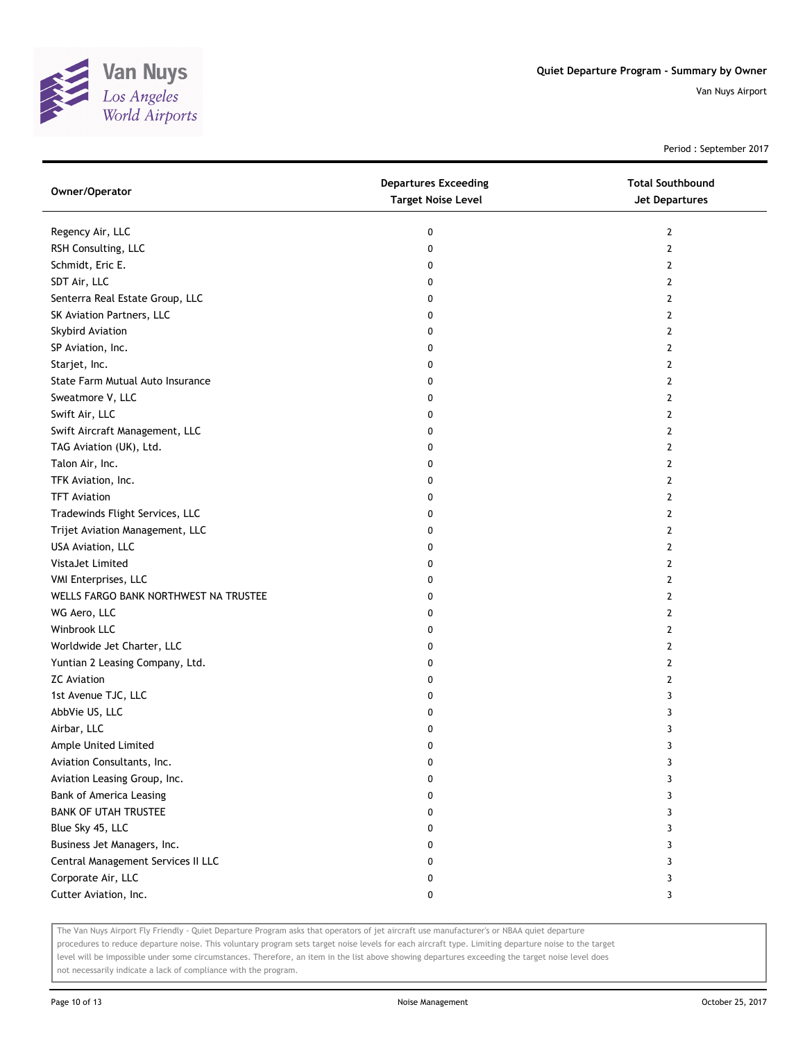

Period : September 2017

| Owner/Operator                        | <b>Departures Exceeding</b><br><b>Target Noise Level</b> | <b>Total Southbound</b><br><b>Jet Departures</b> |
|---------------------------------------|----------------------------------------------------------|--------------------------------------------------|
| Regency Air, LLC                      | 0                                                        | $\mathbf{2}$                                     |
| RSH Consulting, LLC                   | 0                                                        | $\overline{2}$                                   |
| Schmidt, Eric E.                      | 0                                                        | 2                                                |
| SDT Air, LLC                          | 0                                                        | 2                                                |
| Senterra Real Estate Group, LLC       | 0                                                        | $\overline{2}$                                   |
| SK Aviation Partners, LLC             | 0                                                        | $\mathbf{2}$                                     |
| Skybird Aviation                      | 0                                                        | $\overline{2}$                                   |
| SP Aviation, Inc.                     | 0                                                        | $\mathbf{2}$                                     |
| Starjet, Inc.                         | 0                                                        | $\overline{2}$                                   |
| State Farm Mutual Auto Insurance      | 0                                                        | $\mathbf{2}$                                     |
| Sweatmore V, LLC                      | 0                                                        | $\mathbf{2}$                                     |
| Swift Air, LLC                        | 0                                                        | $\overline{2}$                                   |
| Swift Aircraft Management, LLC        | 0                                                        | $\mathbf{2}$                                     |
| TAG Aviation (UK), Ltd.               | 0                                                        | $\mathbf{2}$                                     |
| Talon Air, Inc.                       | 0                                                        | $\mathbf{2}$                                     |
| TFK Aviation, Inc.                    | 0                                                        | $\mathbf{2}$                                     |
| <b>TFT Aviation</b>                   | 0                                                        | 2                                                |
| Tradewinds Flight Services, LLC       | 0                                                        | 2                                                |
| Trijet Aviation Management, LLC       | 0                                                        | $\mathbf{2}$                                     |
| USA Aviation, LLC                     | 0                                                        | $\mathbf{2}$                                     |
| VistaJet Limited                      | 0                                                        | $\mathbf{2}$                                     |
| VMI Enterprises, LLC                  | 0                                                        | $\overline{2}$                                   |
| WELLS FARGO BANK NORTHWEST NA TRUSTEE | 0                                                        | $\mathbf{2}$                                     |
| WG Aero, LLC                          | 0                                                        | 2                                                |
| Winbrook LLC                          | 0                                                        | $\overline{2}$                                   |
| Worldwide Jet Charter, LLC            | 0                                                        | 2                                                |
| Yuntian 2 Leasing Company, Ltd.       | 0                                                        | 2                                                |
| <b>ZC Aviation</b>                    | 0                                                        | $\mathbf{2}$                                     |
| 1st Avenue TJC, LLC                   | 0                                                        | 3                                                |
| AbbVie US, LLC                        | 0                                                        | 3                                                |
| Airbar, LLC                           | 0                                                        | 3                                                |
| Ample United Limited                  | 0                                                        | 3                                                |
| Aviation Consultants, Inc.            | 0                                                        | 3                                                |
| Aviation Leasing Group, Inc.          | 0                                                        | 3                                                |
| <b>Bank of America Leasing</b>        | 0                                                        | 3                                                |
| <b>BANK OF UTAH TRUSTEE</b>           | 0                                                        | 3                                                |
| Blue Sky 45, LLC                      | 0                                                        | 3                                                |
| Business Jet Managers, Inc.           | 0                                                        | 3                                                |
| Central Management Services II LLC    | 0                                                        | 3                                                |
| Corporate Air, LLC                    | 0                                                        | 3                                                |
| Cutter Aviation, Inc.                 | 0                                                        | 3                                                |

The Van Nuys Airport Fly Friendly - Quiet Departure Program asks that operators of jet aircraft use manufacturer's or NBAA quiet departure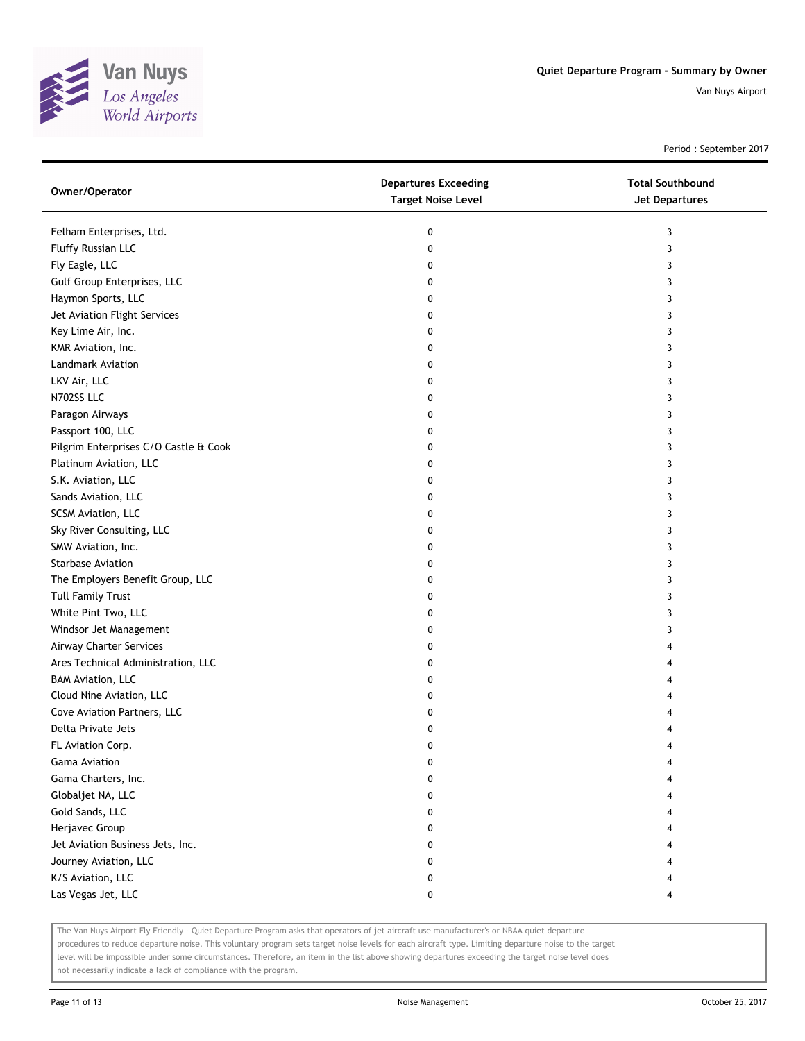

Period : September 2017

| Owner/Operator                        | <b>Departures Exceeding</b><br><b>Target Noise Level</b> | <b>Total Southbound</b><br>Jet Departures |
|---------------------------------------|----------------------------------------------------------|-------------------------------------------|
| Felham Enterprises, Ltd.              | 0                                                        | 3                                         |
| Fluffy Russian LLC                    | 0                                                        | 3                                         |
| Fly Eagle, LLC                        | 0                                                        | 3                                         |
| Gulf Group Enterprises, LLC           | 0                                                        | 3                                         |
| Haymon Sports, LLC                    | 0                                                        | 3                                         |
| Jet Aviation Flight Services          | 0                                                        | 3                                         |
| Key Lime Air, Inc.                    | 0                                                        | 3                                         |
| KMR Aviation, Inc.                    | 0                                                        | 3                                         |
| Landmark Aviation                     | 0                                                        | 3                                         |
| LKV Air, LLC                          | 0                                                        | 3                                         |
| N702SS LLC                            | 0                                                        | 3                                         |
| Paragon Airways                       | 0                                                        | 3                                         |
| Passport 100, LLC                     | 0                                                        | 3                                         |
| Pilgrim Enterprises C/O Castle & Cook | 0                                                        | 3                                         |
| Platinum Aviation, LLC                | 0                                                        | 3                                         |
| S.K. Aviation, LLC                    | 0                                                        | 3                                         |
| Sands Aviation, LLC                   | 0                                                        | 3                                         |
| SCSM Aviation, LLC                    | 0                                                        | 3                                         |
| Sky River Consulting, LLC             | 0                                                        | 3                                         |
| SMW Aviation, Inc.                    | 0                                                        | 3                                         |
| <b>Starbase Aviation</b>              | 0                                                        | 3                                         |
| The Employers Benefit Group, LLC      | 0                                                        | 3                                         |
| <b>Tull Family Trust</b>              | 0                                                        | 3                                         |
| White Pint Two, LLC                   | 0                                                        | 3                                         |
| Windsor Jet Management                | 0                                                        | 3                                         |
| Airway Charter Services               | 0                                                        | 4                                         |
| Ares Technical Administration, LLC    | 0                                                        | 4                                         |
| <b>BAM Aviation, LLC</b>              | 0                                                        |                                           |
| Cloud Nine Aviation, LLC              | 0                                                        |                                           |
| Cove Aviation Partners, LLC           | 0                                                        |                                           |
| Delta Private Jets                    | 0                                                        |                                           |
| FL Aviation Corp.                     | 0                                                        |                                           |
| Gama Aviation                         | 0                                                        |                                           |
| Gama Charters, Inc.                   | 0                                                        |                                           |
| Globaljet NA, LLC                     | 0                                                        |                                           |
| Gold Sands, LLC                       | 0                                                        |                                           |
| Herjavec Group                        | 0                                                        |                                           |
| Jet Aviation Business Jets, Inc.      | 0                                                        |                                           |
| Journey Aviation, LLC                 | 0                                                        |                                           |
| K/S Aviation, LLC                     | 0                                                        |                                           |
| Las Vegas Jet, LLC                    | 0                                                        | 4                                         |

The Van Nuys Airport Fly Friendly - Quiet Departure Program asks that operators of jet aircraft use manufacturer's or NBAA quiet departure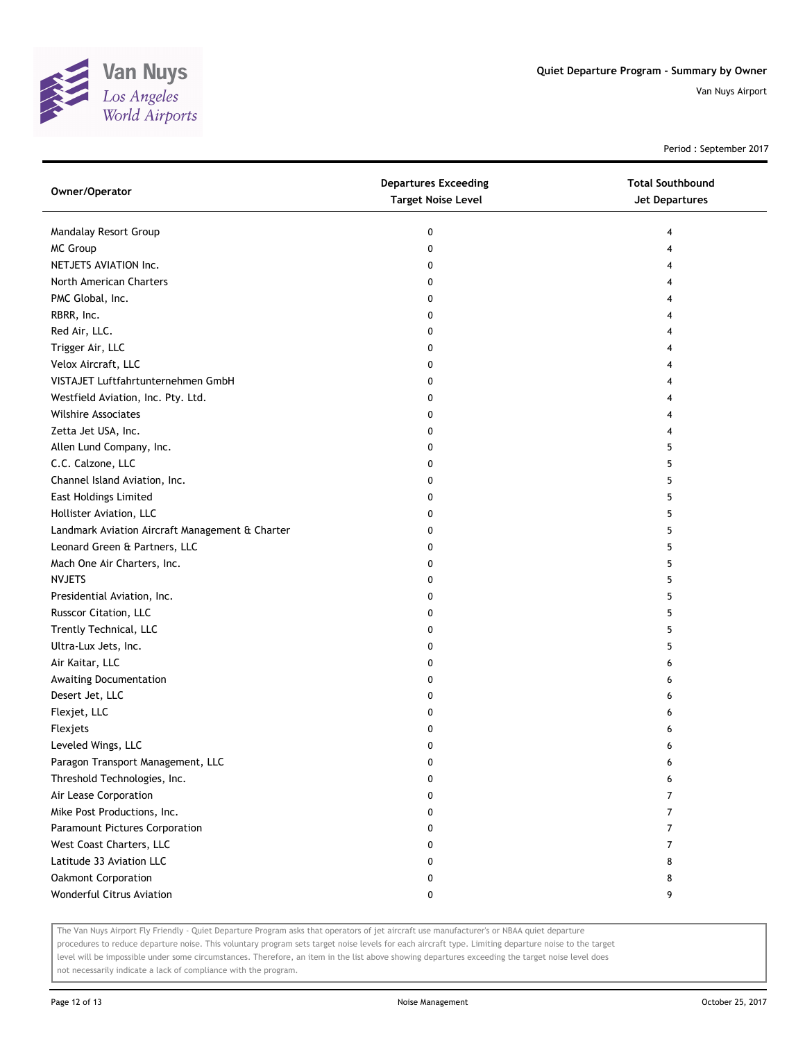

Period : September 2017

| Owner/Operator                                  | <b>Departures Exceeding</b><br><b>Target Noise Level</b> | <b>Total Southbound</b><br>Jet Departures |
|-------------------------------------------------|----------------------------------------------------------|-------------------------------------------|
| Mandalay Resort Group                           | 0                                                        | 4                                         |
| MC Group                                        | 0                                                        | 4                                         |
| NETJETS AVIATION Inc.                           | 0                                                        |                                           |
| North American Charters                         | 0                                                        |                                           |
| PMC Global, Inc.                                | 0                                                        |                                           |
| RBRR, Inc.                                      | 0                                                        |                                           |
| Red Air, LLC.                                   | 0                                                        |                                           |
| Trigger Air, LLC                                | 0                                                        |                                           |
| Velox Aircraft, LLC                             | 0                                                        |                                           |
| VISTAJET Luftfahrtunternehmen GmbH              | 0                                                        |                                           |
| Westfield Aviation, Inc. Pty. Ltd.              | 0                                                        |                                           |
| <b>Wilshire Associates</b>                      | 0                                                        |                                           |
| Zetta Jet USA, Inc.                             | 0                                                        |                                           |
| Allen Lund Company, Inc.                        | 0                                                        | 5                                         |
| C.C. Calzone, LLC                               | 0                                                        | 5                                         |
| Channel Island Aviation, Inc.                   | 0                                                        | 5                                         |
| <b>East Holdings Limited</b>                    | 0                                                        | 5                                         |
| Hollister Aviation, LLC                         | 0                                                        | 5                                         |
| Landmark Aviation Aircraft Management & Charter | 0                                                        | 5                                         |
| Leonard Green & Partners, LLC                   | 0                                                        | 5                                         |
| Mach One Air Charters, Inc.                     | 0                                                        | 5                                         |
| <b>NVJETS</b>                                   | 0                                                        | 5                                         |
| Presidential Aviation, Inc.                     | 0                                                        | 5                                         |
| Russcor Citation, LLC                           | 0                                                        | 5                                         |
| Trently Technical, LLC                          | 0                                                        | 5                                         |
| Ultra-Lux Jets, Inc.                            | 0                                                        | 5                                         |
| Air Kaitar, LLC                                 | 0                                                        | 6                                         |
| Awaiting Documentation                          | 0                                                        | 6                                         |
| Desert Jet, LLC                                 | 0                                                        | 6                                         |
| Flexjet, LLC                                    | 0                                                        | 6                                         |
| Flexjets                                        | 0                                                        | 6                                         |
| Leveled Wings, LLC                              | 0                                                        | 6                                         |
| Paragon Transport Management, LLC               | 0                                                        | 6                                         |
| Threshold Technologies, Inc.                    | 0                                                        | 6                                         |
| Air Lease Corporation                           | 0                                                        | 7                                         |
| Mike Post Productions, Inc.                     | 0                                                        | 7                                         |
| Paramount Pictures Corporation                  | 0                                                        | 7                                         |
| West Coast Charters, LLC                        | 0                                                        | 7                                         |
| Latitude 33 Aviation LLC                        | 0                                                        | 8                                         |
| Oakmont Corporation                             | 0                                                        | 8                                         |
| Wonderful Citrus Aviation                       | 0                                                        | 9                                         |

The Van Nuys Airport Fly Friendly - Quiet Departure Program asks that operators of jet aircraft use manufacturer's or NBAA quiet departure